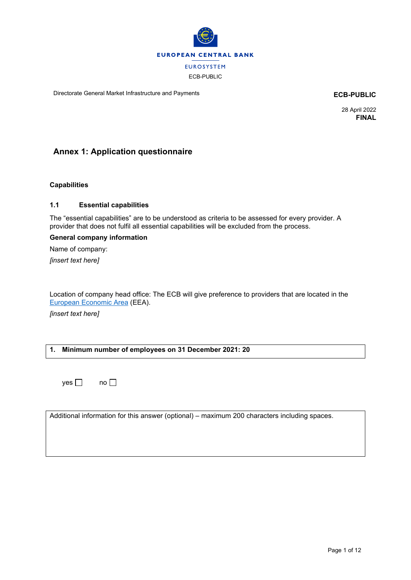

Directorate General Market Infrastructure and Payments **ECB-PUBLIC**

28 April 2022 **FINAL**

# **Annex 1: Application questionnaire**

### **Capabilities**

#### **1.1 Essential capabilities**

The "essential capabilities" are to be understood as criteria to be assessed for every provider. A provider that does not fulfil all essential capabilities will be excluded from the process.

#### **General company information**

Name of company:

*[insert text here]*

Location of company head office: The ECB will give preference to providers that are located in the [European Economic Area](https://ec.europa.eu/eurostat/statistics-explained/index.php?title=Glossary:European_Economic_Area_(EEA)#:%7E:text=The%20European%20Economic%20Area%2C%20abbreviated,force%20on%201%20January%201994.) (EEA).

*[insert text here]*

## **1. Minimum number of employees on 31 December 2021: 20**

 $yes \Box$  no  $\Box$ 

Additional information for this answer (optional) – maximum 200 characters including spaces.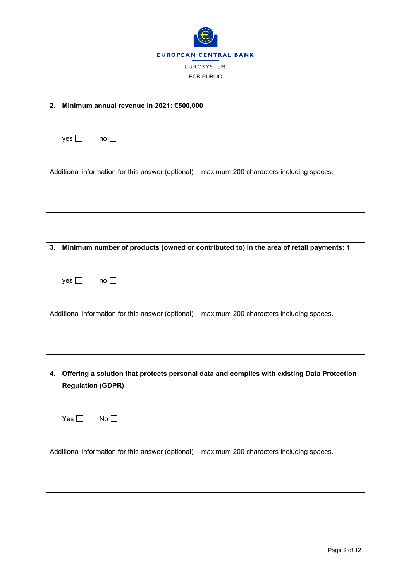

**2. Minimum annual revenue in 2021: €500,000**

| yes $\Box$    | no $\Box$                                                                                    |
|---------------|----------------------------------------------------------------------------------------------|
|               | Additional information for this answer (optional) – maximum 200 characters including spaces. |
| 3.            | Minimum number of products (owned or contributed to) in the area of retail payments: 1       |
| yes $\square$ | no                                                                                           |
|               | Additional information for this answer (optional) – maximum 200 characters including spaces. |

**4. Offering a solution that protects personal data and complies with existing Data Protection Regulation (GDPR)**

 $Yes \Box$  No  $\Box$ 

Additional information for this answer (optional) – maximum 200 characters including spaces.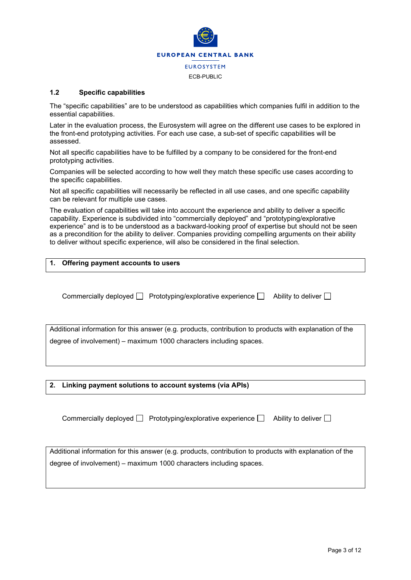

#### **1.2 Specific capabilities**

The "specific capabilities" are to be understood as capabilities which companies fulfil in addition to the essential capabilities.

Later in the evaluation process, the Eurosystem will agree on the different use cases to be explored in the front-end prototyping activities. For each use case, a sub-set of specific capabilities will be assessed.

Not all specific capabilities have to be fulfilled by a company to be considered for the front-end prototyping activities.

Companies will be selected according to how well they match these specific use cases according to the specific capabilities.

Not all specific capabilities will necessarily be reflected in all use cases, and one specific capability can be relevant for multiple use cases.

The evaluation of capabilities will take into account the experience and ability to deliver a specific capability. Experience is subdivided into "commercially deployed" and "prototyping/explorative experience" and is to be understood as a backward-looking proof of expertise but should not be seen as a precondition for the ability to deliver. Companies providing compelling arguments on their ability to deliver without specific experience, will also be considered in the final selection.

| 1. Offering payment accounts to users |
|---------------------------------------|
|                                       |

Commercially deployed  $\Box$  Prototyping/explorative experience  $\Box$  Ability to deliver  $\Box$ 

Additional information for this answer (e.g. products, contribution to products with explanation of the degree of involvement) – maximum 1000 characters including spaces.

**2. Linking payment solutions to account systems (via APIs)**

Commercially deployed  $\Box$  Prototyping/explorative experience  $\Box$  Ability to deliver  $\Box$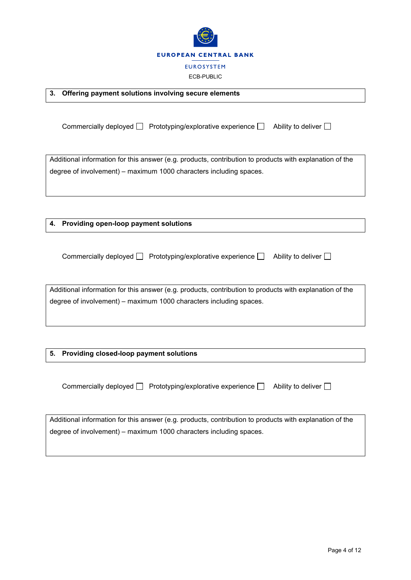

| 3.<br>Offering payment solutions involving secure elements                                                                                                                    |
|-------------------------------------------------------------------------------------------------------------------------------------------------------------------------------|
| Commercially deployed $\Box$ Prototyping/explorative experience $\Box$<br>Ability to deliver $\Box$                                                                           |
| Additional information for this answer (e.g. products, contribution to products with explanation of the<br>degree of involvement) - maximum 1000 characters including spaces. |
| Providing open-loop payment solutions<br>4.                                                                                                                                   |
| Commercially deployed $\Box$ Prototyping/explorative experience $\Box$<br>Ability to deliver $\square$                                                                        |
| Additional information for this answer (e.g. products, contribution to products with explanation of the<br>degree of involvement) - maximum 1000 characters including spaces. |
| Providing closed-loop payment solutions<br>5.                                                                                                                                 |
| Ability to deliver $\square$<br>Commercially deployed $\Box$ Prototyping/explorative experience $\Box$                                                                        |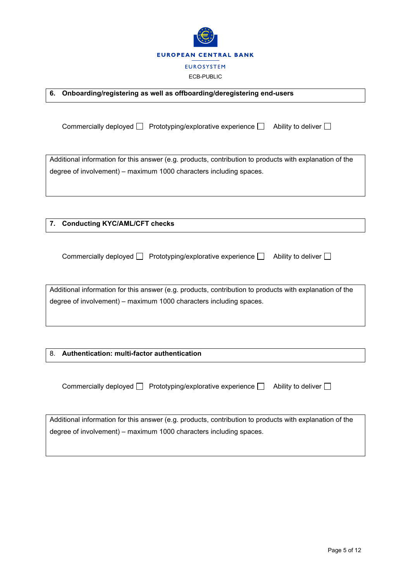

|  | 6. Onboarding/registering as well as offboarding/deregistering end-users |  |  |  |
|--|--------------------------------------------------------------------------|--|--|--|
|--|--------------------------------------------------------------------------|--|--|--|

Commercially deployed  $\Box$  Prototyping/explorative experience  $\Box$  Ability to deliver  $\Box$ 

Additional information for this answer (e.g. products, contribution to products with explanation of the degree of involvement) – maximum 1000 characters including spaces.

**7. Conducting KYC/AML/CFT checks**

Commercially deployed  $\Box$  Prototyping/explorative experience  $\Box$  Ability to deliver  $\Box$ 

Additional information for this answer (e.g. products, contribution to products with explanation of the degree of involvement) – maximum 1000 characters including spaces.

## 8. **Authentication: multi-factor authentication**

Commercially deployed  $\Box$  Prototyping/explorative experience  $\Box$  Ability to deliver  $\Box$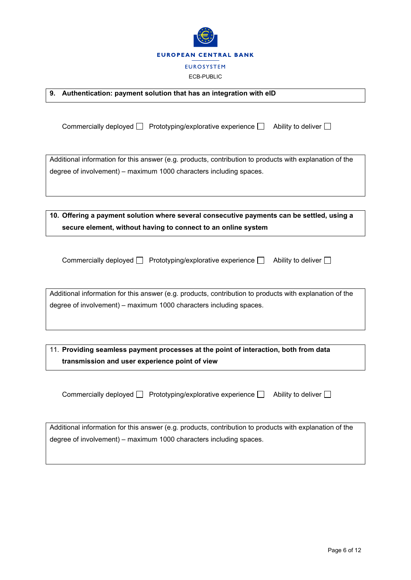

|  | 9. Authentication: payment solution that has an integration with eID |  |  |
|--|----------------------------------------------------------------------|--|--|
|--|----------------------------------------------------------------------|--|--|

Commercially deployed  $\Box$  Prototyping/explorative experience  $\Box$  Ability to deliver  $\Box$ 

Additional information for this answer (e.g. products, contribution to products with explanation of the degree of involvement) – maximum 1000 characters including spaces.

| 10. Offering a payment solution where several consecutive payments can be settled, using a |
|--------------------------------------------------------------------------------------------|
| secure element, without having to connect to an online system                              |

| Commercially deployed $\Box$ Prototyping/explorative experience $\Box$ | Ability to deliver $\Box$ |
|------------------------------------------------------------------------|---------------------------|
|                                                                        |                           |

Additional information for this answer (e.g. products, contribution to products with explanation of the degree of involvement) – maximum 1000 characters including spaces.

11. **Providing seamless payment processes at the point of interaction, both from data transmission and user experience point of view**

Commercially deployed  $\Box$  Prototyping/explorative experience  $\Box$  Ability to deliver  $\Box$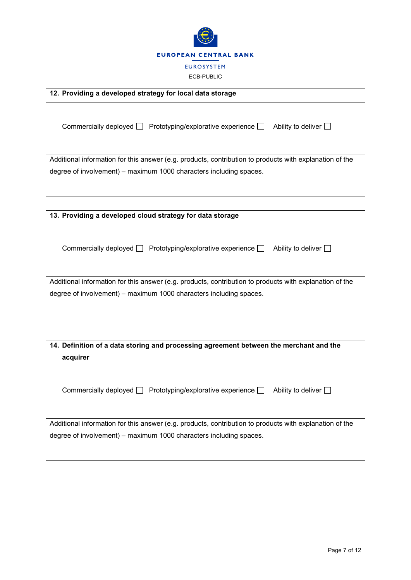

**12. Providing a developed strategy for local data storage** Commercially deployed  $\Box$  Prototyping/explorative experience  $\Box$  Ability to deliver  $\Box$ Additional information for this answer (e.g. products, contribution to products with explanation of the degree of involvement) – maximum 1000 characters including spaces. **13. Providing a developed cloud strategy for data storage** Commercially deployed  $\Box$  Prototyping/explorative experience  $\Box$  Ability to deliver  $\Box$ Additional information for this answer (e.g. products, contribution to products with explanation of the degree of involvement) – maximum 1000 characters including spaces. **14. Definition of a data storing and processing agreement between the merchant and the acquirer** Commercially deployed  $\Box$  Prototyping/explorative experience  $\Box$  Ability to deliver  $\Box$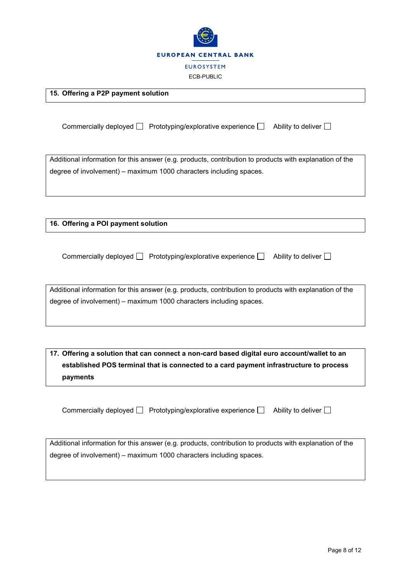

Commercially deployed  $\Box$  Prototyping/explorative experience  $\Box$  Ability to deliver  $\Box$ Additional information for this answer (e.g. products, contribution to products with explanation of the degree of involvement) – maximum 1000 characters including spaces.

**16. Offering a POI payment solution**

**15. Offering a P2P payment solution**

|  | Commercially deployed □ Prototyping/explorative experience □ Ability to deliver □ |  |
|--|-----------------------------------------------------------------------------------|--|
|--|-----------------------------------------------------------------------------------|--|

Additional information for this answer (e.g. products, contribution to products with explanation of the degree of involvement) – maximum 1000 characters including spaces.

**17. Offering a solution that can connect a non-card based digital euro account/wallet to an established POS terminal that is connected to a card payment infrastructure to process payments**

Commercially deployed  $\Box$  Prototyping/explorative experience  $\Box$  Ability to deliver  $\Box$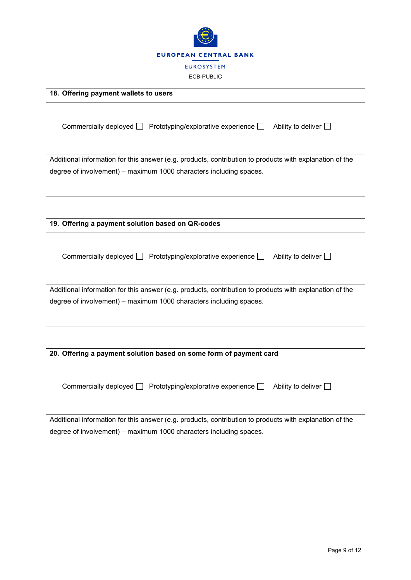

**18. Offering payment wallets to users**

Commercially deployed  $\Box$  Prototyping/explorative experience  $\Box$  Ability to deliver  $\Box$ Additional information for this answer (e.g. products, contribution to products with explanation of the degree of involvement) – maximum 1000 characters including spaces. **19. Offering a payment solution based on QR-codes** Commercially deployed  $\Box$  Prototyping/explorative experience  $\Box$  Ability to deliver  $\Box$ Additional information for this answer (e.g. products, contribution to products with explanation of the degree of involvement) – maximum 1000 characters including spaces. **20. Offering a payment solution based on some form of payment card**

Commercially deployed  $\Box$  Prototyping/explorative experience  $\Box$  Ability to deliver  $\Box$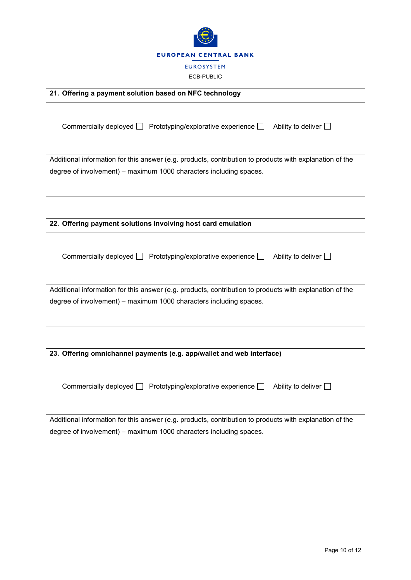

**21. Offering a payment solution based on NFC technology**

Commercially deployed  $\Box$  Prototyping/explorative experience  $\Box$  Ability to deliver  $\Box$ 

Additional information for this answer (e.g. products, contribution to products with explanation of the degree of involvement) – maximum 1000 characters including spaces.

**22. Offering payment solutions involving host card emulation**

Commercially deployed  $\Box$  Prototyping/explorative experience  $\Box$  Ability to deliver  $\Box$ 

Additional information for this answer (e.g. products, contribution to products with explanation of the degree of involvement) – maximum 1000 characters including spaces.

**23. Offering omnichannel payments (e.g. app/wallet and web interface)**

Commercially deployed  $\Box$  Prototyping/explorative experience  $\Box$  Ability to deliver  $\Box$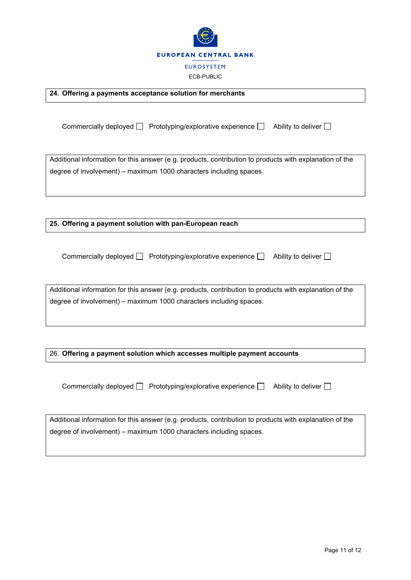

**24. Offering a payments acceptance solution for merchants**

Commercially deployed  $\Box$  Prototyping/explorative experience  $\Box$  Ability to deliver  $\Box$ Additional information for this answer (e.g. products, contribution to products with explanation of the degree of involvement) – maximum 1000 characters including spaces. **25. Offering a payment solution with pan-European reach** Commercially deployed  $\Box$  Prototyping/explorative experience  $\Box$  Ability to deliver  $\Box$ 

Additional information for this answer (e.g. products, contribution to products with explanation of the

26. **Offering a payment solution which accesses multiple payment accounts**

degree of involvement) – maximum 1000 characters including spaces.

Commercially deployed  $\Box$  Prototyping/explorative experience  $\Box$  Ability to deliver  $\Box$